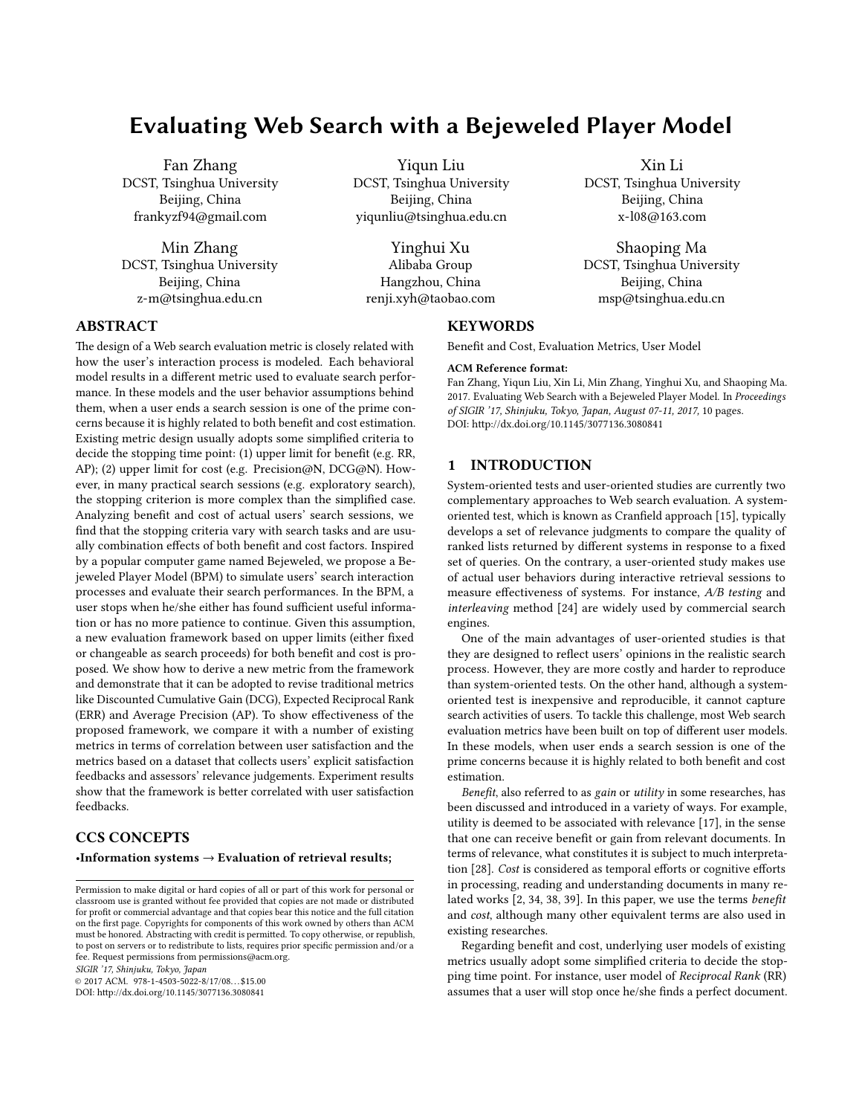# Evaluating Web Search with a Bejeweled Player Model

Fan Zhang DCST, Tsinghua University Beijing, China frankyzf94@gmail.com

Min Zhang DCST, Tsinghua University Beijing, China z-m@tsinghua.edu.cn

Yiqun Liu DCST, Tsinghua University Beijing, China yiqunliu@tsinghua.edu.cn

Yinghui Xu Alibaba Group Hangzhou, China renji.xyh@taobao.com

Xin Li DCST, Tsinghua University Beijing, China x-l08@163.com

Shaoping Ma DCST, Tsinghua University Beijing, China msp@tsinghua.edu.cn

# ABSTRACT

The design of a Web search evaluation metric is closely related with how the user's interaction process is modeled. Each behavioral model results in a different metric used to evaluate search performance. In these models and the user behavior assumptions behind them, when a user ends a search session is one of the prime concerns because it is highly related to both benefit and cost estimation. Existing metric design usually adopts some simplified criteria to decide the stopping time point:  $(1)$  upper limit for benefit (e.g. RR, AP); (2) upper limit for cost (e.g. Precision@N, DCG@N). However, in many practical search sessions (e.g. exploratory search), the stopping criterion is more complex than the simplified case. Analyzing benefit and cost of actual users' search sessions, we find that the stopping criteria vary with search tasks and are usually combination effects of both benefit and cost factors. Inspired by a popular computer game named Bejeweled, we propose a Bejeweled Player Model (BPM) to simulate users' search interaction processes and evaluate their search performances. In the BPM, a user stops when he/she either has found sufficient useful information or has no more patience to continue. Given this assumption, a new evaluation framework based on upper limits (either fixed or changeable as search proceeds) for both benefit and cost is proposed. We show how to derive a new metric from the framework and demonstrate that it can be adopted to revise traditional metrics like Discounted Cumulative Gain (DCG), Expected Reciprocal Rank (ERR) and Average Precision (AP). To show effectiveness of the proposed framework, we compare it with a number of existing metrics in terms of correlation between user satisfaction and the metrics based on a dataset that collects users' explicit satisfaction feedbacks and assessors' relevance judgements. Experiment results show that the framework is better correlated with user satisfaction feedbacks.

# CCS CONCEPTS

•Information systems  $\rightarrow$  Evaluation of retrieval results;

SIGIR '17, Shinjuku, Tokyo, Japan

© 2017 ACM. 978-1-4503-5022-8/17/08. . . \$15.00 DOI: http://dx.doi.org/10.1145/3077136.3080841

# **KEYWORDS**

Benefit and Cost, Evaluation Metrics, User Model

#### ACM Reference format:

Fan Zhang, Yiqun Liu, Xin Li, Min Zhang, Yinghui Xu, and Shaoping Ma. 2017. Evaluating Web Search with a Bejeweled Player Model. In Proceedings of SIGIR '17, Shinjuku, Tokyo, Japan, August 07-11, 2017, [10](#page-9-0) pages. DOI: http://dx.doi.org/10.1145/3077136.3080841

# 1 INTRODUCTION

System-oriented tests and user-oriented studies are currently two complementary approaches to Web search evaluation. A system-oriented test, which is known as Cranfield approach [\[15\]](#page-9-1), typically develops a set of relevance judgments to compare the quality of ranked lists returned by different systems in response to a fixed set of queries. On the contrary, a user-oriented study makes use of actual user behaviors during interactive retrieval sessions to measure effectiveness of systems. For instance,  $A/B$  testing and interleaving method [\[24\]](#page-9-2) are widely used by commercial search engines.

One of the main advantages of user-oriented studies is that they are designed to reflect users' opinions in the realistic search process. However, they are more costly and harder to reproduce than system-oriented tests. On the other hand, although a systemoriented test is inexpensive and reproducible, it cannot capture search activities of users. To tackle this challenge, most Web search evaluation metrics have been built on top of different user models. In these models, when user ends a search session is one of the prime concerns because it is highly related to both benefit and cost estimation.

Benefit, also referred to as gain or utility in some researches, has been discussed and introduced in a variety of ways. For example, utility is deemed to be associated with relevance [\[17\]](#page-9-3), in the sense that one can receive benefit or gain from relevant documents. In terms of relevance, what constitutes it is subject to much interpreta-tion [\[28\]](#page-9-4). Cost is considered as temporal efforts or cognitive efforts in processing, reading and understanding documents in many related works  $[2, 34, 38, 39]$  $[2, 34, 38, 39]$  $[2, 34, 38, 39]$  $[2, 34, 38, 39]$  $[2, 34, 38, 39]$  $[2, 34, 38, 39]$  $[2, 34, 38, 39]$ . In this paper, we use the terms benefit and cost, although many other equivalent terms are also used in existing researches.

Regarding benefit and cost, underlying user models of existing metrics usually adopt some simplified criteria to decide the stopping time point. For instance, user model of Reciprocal Rank (RR) assumes that a user will stop once he/she finds a perfect document.

Permission to make digital or hard copies of all or part of this work for personal or classroom use is granted without fee provided that copies are not made or distributed for profit or commercial advantage and that copies bear this notice and the full citation on the first page. Copyrights for components of this work owned by others than ACM  ${\rm must}$  be honored. Abstracting with credit is permitted. To copy otherwise, or republish, to post on servers or to redistribute to lists, requires prior specific permission and/or a fee. Request permissions from permissions@acm.org.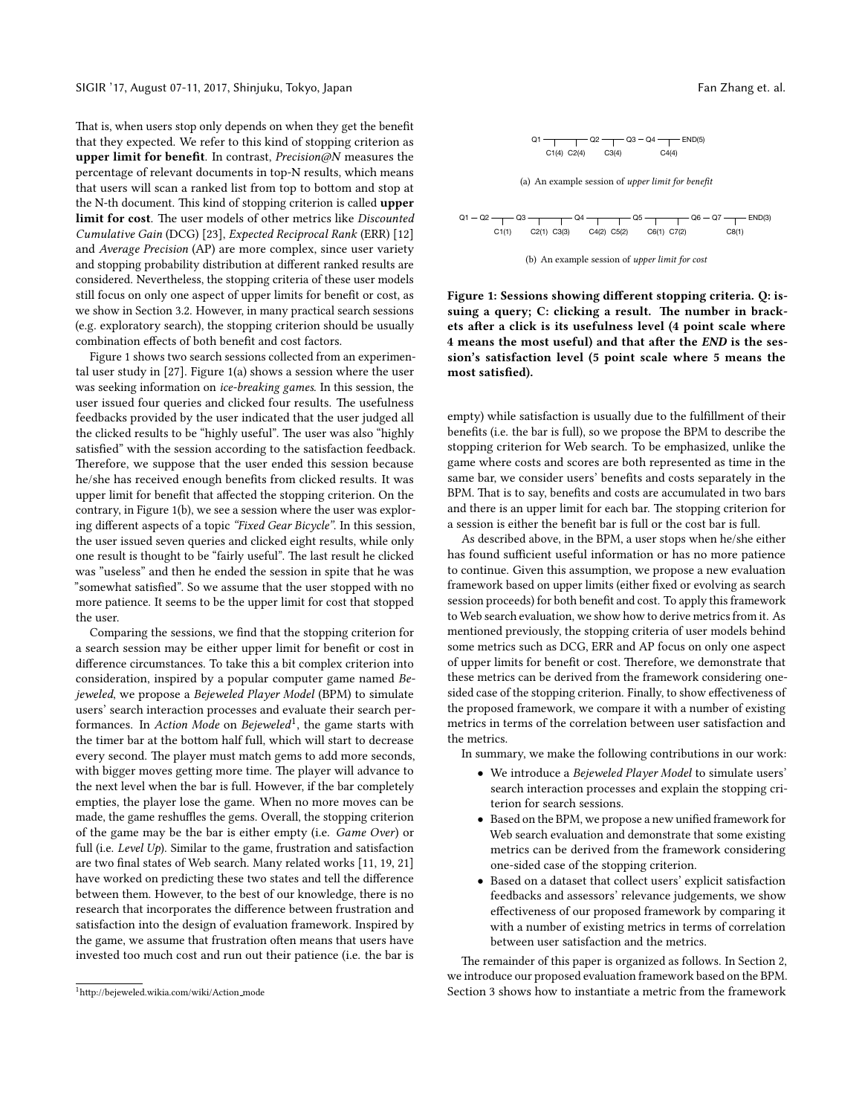That is, when users stop only depends on when they get the benefit that they expected. We refer to this kind of stopping criterion as upper limit for benefit. In contrast, Precision@N measures the percentage of relevant documents in top-N results, which means that users will scan a ranked list from top to bottom and stop at the N-th document. This kind of stopping criterion is called upper limit for cost. The user models of other metrics like Discounted Cumulative Gain (DCG) [\[23\]](#page-9-9), Expected Reciprocal Rank (ERR) [\[12\]](#page-9-10) and Average Precision (AP) are more complex, since user variety and stopping probability distribution at different ranked results are considered. Nevertheless, the stopping criteria of these user models still focus on only one aspect of upper limits for benefit or cost, as we show in Section [3.2.](#page-3-0) However, in many practical search sessions (e.g. exploratory search), the stopping criterion should be usually combination effects of both benefit and cost factors.

Figure [1](#page-1-0) shows two search sessions collected from an experimental user study in [\[27\]](#page-9-11). Figure [1\(a\)](#page-1-1) shows a session where the user was seeking information on ice-breaking games. In this session, the user issued four queries and clicked four results. The usefulness feedbacks provided by the user indicated that the user judged all the clicked results to be "highly useful". The user was also "highly satisfied" with the session according to the satisfaction feedback. Therefore, we suppose that the user ended this session because he/she has received enough benefits from clicked results. It was upper limit for benefit that affected the stopping criterion. On the contrary, in Figure [1\(b\),](#page-1-2) we see a session where the user was exploring different aspects of a topic "Fixed Gear Bicycle". In this session, the user issued seven queries and clicked eight results, while only one result is thought to be "fairly useful". The last result he clicked was "useless" and then he ended the session in spite that he was "somewhat satisfied". So we assume that the user stopped with no more patience. It seems to be the upper limit for cost that stopped the user.

Comparing the sessions, we find that the stopping criterion for a search session may be either upper limit for benefit or cost in difference circumstances. To take this a bit complex criterion into consideration, inspired by a popular computer game named Bejeweled, we propose a Bejeweled Player Model (BPM) to simulate users' search interaction processes and evaluate their search performances. In Action Mode on Bejeweled $^1$  $^1$ , the game starts with the timer bar at the bottom half full, which will start to decrease every second. The player must match gems to add more seconds, with bigger moves getting more time. The player will advance to the next level when the bar is full. However, if the bar completely empties, the player lose the game. When no more moves can be made, the game reshuffles the gems. Overall, the stopping criterion of the game may be the bar is either empty (i.e. Game Over) or full (i.e. Level Up). Similar to the game, frustration and satisfaction are two final states of Web search. Many related works [\[11,](#page-9-12) [19,](#page-9-13) [21\]](#page-9-14) have worked on predicting these two states and tell the difference between them. However, to the best of our knowledge, there is no research that incorporates the difference between frustration and satisfaction into the design of evaluation framework. Inspired by the game, we assume that frustration often means that users have invested too much cost and run out their patience (i.e. the bar is

<span id="page-1-1"></span><span id="page-1-0"></span>
$$
Q1 \longrightarrow Q2 \longrightarrow Q3 - Q4 \longrightarrow END(5)
$$
  
C1(4) C2(4) C3(4) C4(4)

(a) An example session of upper limit for benefit

<span id="page-1-2"></span> $Q1 - Q2$ C2(1) C3(3)  $Q2$   $\rightarrow$   $Q3$   $\rightarrow$   $Q4$   $\rightarrow$   $Q5$   $\rightarrow$   $Q6 - Q7$   $\rightarrow$   $END(3)$  $C1(1)$  $O<sub>3</sub>$ C4(2) C5(2)  $\Omega$ C6(1) C7(2) Q5 <del>\_\_\_\_ \_\_\_ \_\_</del> Q6 — Q7 — C8(1)

(b) An example session of upper limit for cost

Figure 1: Sessions showing different stopping criteria. Q: issuing a query; C: clicking a result. The number in brackets after a click is its usefulness level (4 point scale where 4 means the most useful) and that after the END is the session's satisfaction level (5 point scale where 5 means the most satisfied).

empty) while satisfaction is usually due to the fulfillment of their benefits (i.e. the bar is full), so we propose the BPM to describe the stopping criterion for Web search. To be emphasized, unlike the game where costs and scores are both represented as time in the same bar, we consider users' benefits and costs separately in the BPM. That is to say, benefits and costs are accumulated in two bars and there is an upper limit for each bar. The stopping criterion for a session is either the benefit bar is full or the cost bar is full.

As described above, in the BPM, a user stops when he/she either has found sufficient useful information or has no more patience to continue. Given this assumption, we propose a new evaluation framework based on upper limits (either fixed or evolving as search session proceeds) for both benefit and cost. To apply this framework to Web search evaluation, we show how to derive metrics from it. As mentioned previously, the stopping criteria of user models behind some metrics such as DCG, ERR and AP focus on only one aspect of upper limits for benefit or cost. Therefore, we demonstrate that these metrics can be derived from the framework considering onesided case of the stopping criterion. Finally, to show effectiveness of the proposed framework, we compare it with a number of existing metrics in terms of the correlation between user satisfaction and the metrics.

In summary, we make the following contributions in our work:

- We introduce a Bejeweled Player Model to simulate users' search interaction processes and explain the stopping criterion for search sessions.
- $\bullet~$  Based on the BPM, we propose a new unified framework for Web search evaluation and demonstrate that some existing metrics can be derived from the framework considering one-sided case of the stopping criterion.
- Based on a dataset that collect users' explicit satisfaction feedbacks and assessors' relevance judgements, we show effectiveness of our proposed framework by comparing it with a number of existing metrics in terms of correlation between user satisfaction and the metrics.

The remainder of this paper is organized as follows. In Section [2,](#page-2-0) we introduce our proposed evaluation framework based on the BPM. Section [3](#page-3-1) shows how to instantiate a metric from the framework

<span id="page-1-3"></span><sup>&</sup>lt;sup>1</sup>http://bejeweled.wikia.com/wiki/Action\_mode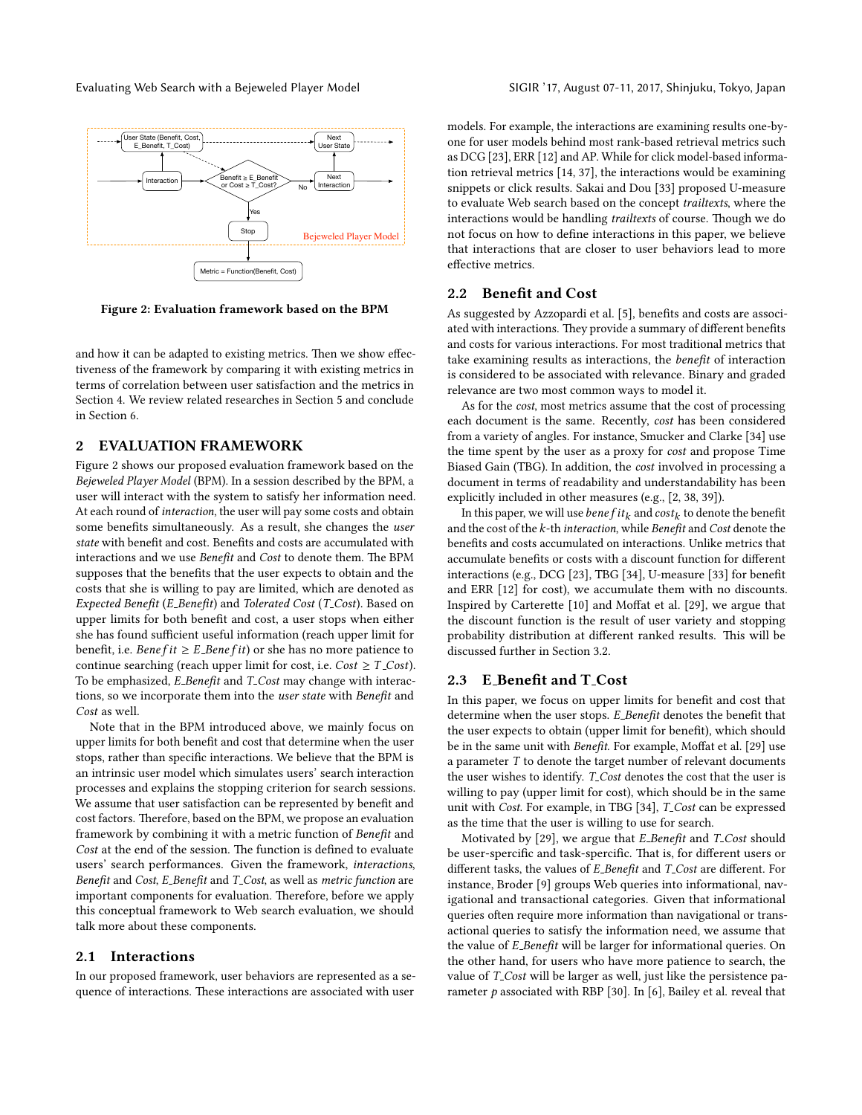Evaluating Web Search with a Bejeweled Player Model Signey SIGIR '17, August 07-11, 2017, Shinjuku, Tokyo, Japan

<span id="page-2-1"></span>

Figure 2: Evaluation framework based on the BPM

and how it can be adapted to existing metrics. Then we show effectiveness of the framework by comparing it with existing metrics in terms of correlation between user satisfaction and the metrics in Section [4.](#page-5-0) We review related researches in Section [5](#page-8-0) and conclude in Section [6.](#page-8-1)

#### <span id="page-2-0"></span>2 EVALUATION FRAMEWORK

Figure [2](#page-2-1) shows our proposed evaluation framework based on the Bejeweled Player Model (BPM). In a session described by the BPM, a user will interact with the system to satisfy her information need. At each round of interaction, the user will pay some costs and obtain some benefits simultaneously. As a result, she changes the user state with benefit and cost. Benefits and costs are accumulated with interactions and we use Benefit and Cost to denote them. The BPM supposes that the benefits that the user expects to obtain and the costs that she is willing to pay are limited, which are denoted as Expected Benefit (E\_Benefit) and Tolerated Cost (T\_Cost). Based on upper limits for both benefit and cost, a user stops when either she has found sufficient useful information (reach upper limit for benefit, i.e. Bene f it  $\geq E$  Bene f it) or she has no more patience to continue searching (reach upper limit for cost, i.e.  $Cost \geq T\_Cost$ ). To be emphasized, *E\_Benefit* and *T\_Cost* may change with interactions, so we incorporate them into the user state with Benefit and Cost as well.

Note that in the BPM introduced above, we mainly focus on upper limits for both benefit and cost that determine when the user stops, rather than specific interactions. We believe that the BPM is an intrinsic user model which simulates users' search interaction processes and explains the stopping criterion for search sessions. We assume that user satisfaction can be represented by benefit and cost factors. Therefore, based on the BPM, we propose an evaluation framework by combining it with a metric function of Benefit and Cost at the end of the session. The function is defined to evaluate users' search performances. Given the framework, interactions, Benefit and Cost, E\_Benefit and T\_Cost, as well as metric function are important components for evaluation. Therefore, before we apply this conceptual framework to Web search evaluation, we should talk more about these components.

#### 2.1 Interactions

In our proposed framework, user behaviors are represented as a sequence of interactions. These interactions are associated with user

models. For example, the interactions are examining results one-byone for user models behind most rank-based retrieval metrics such as DCG [\[23\]](#page-9-9), ERR [\[12\]](#page-9-10) and AP. While for click model-based information retrieval metrics [\[14,](#page-9-15) [37\]](#page-9-16), the interactions would be examining snippets or click results. Sakai and Dou [\[33\]](#page-9-17) proposed U-measure to evaluate Web search based on the concept trailtexts, where the interactions would be handling *trailtexts* of course. Though we do not focus on how to define interactions in this paper, we believe that interactions that are closer to user behaviors lead to more effective metrics.

## <span id="page-2-3"></span>2.2 Benefit and Cost

As suggested by Azzopardi et al. [\[5\]](#page-9-18), benefits and costs are associated with interactions. They provide a summary of different benefits and costs for various interactions. For most traditional metrics that take examining results as interactions, the *benefit* of interaction is considered to be associated with relevance. Binary and graded relevance are two most common ways to model it.

As for the cost, most metrics assume that the cost of processing each document is the same. Recently, cost has been considered from a variety of angles. For instance, Smucker and Clarke [\[34\]](#page-9-6) use the time spent by the user as a proxy for cost and propose Time Biased Gain (TBG). In addition, the cost involved in processing a document in terms of readability and understandability has been explicitly included in other measures (e.g., [\[2,](#page-9-5) [38,](#page-9-7) [39\]](#page-9-8)).

In this paper, we will use *bene f* it<sub>k</sub> and cost<sub>k</sub> to denote the benefit<br>d the cost of the k-th *interaction, while Benefit and Cost denote* the and the cost of the  $k$ -th interaction, while Benefit and Cost denote the benefits and costs accumulated on interactions. Unlike metrics that accumulate benefits or costs with a discount function for different interactions (e.g., DCG [\[23\]](#page-9-9), TBG [\[34\]](#page-9-6), U-measure [\[33\]](#page-9-17) for benefit and ERR [\[12\]](#page-9-10) for cost), we accumulate them with no discounts. Inspired by Carterette [\[10\]](#page-9-19) and Moffat et al. [\[29\]](#page-9-20), we argue that the discount function is the result of user variety and stopping probability distribution at different ranked results. This will be discussed further in Section [3.2.](#page-3-0)

# <span id="page-2-2"></span>2.3 E\_Benefit and T\_Cost

In this paper, we focus on upper limits for benefit and cost that determine when the user stops. E\_Benefit denotes the benefit that the user expects to obtain (upper limit for benefit), which should be in the same unit with Benefit. For example, Moffat et al. [\[29\]](#page-9-20) use a parameter T to denote the target number of relevant documents the user wishes to identify. T\_Cost denotes the cost that the user is willing to pay (upper limit for cost), which should be in the same unit with Cost. For example, in TBG [\[34\]](#page-9-6), T\_Cost can be expressed as the time that the user is willing to use for search.

Motivated by  $[29]$ , we argue that *E\_Benefit* and *T\_Cost* should be user-spercific and task-spercific. That is, for different users or different tasks, the values of  $E_B$ Benefit and  $T_C$ Cost are different. For instance, Broder [\[9\]](#page-9-21) groups Web queries into informational, navigational and transactional categories. Given that informational queries often require more information than navigational or transactional queries to satisfy the information need, we assume that the value of E\_Benefit will be larger for informational queries. On the other hand, for users who have more patience to search, the value of T\_Cost will be larger as well, just like the persistence parameter  $p$  associated with RBP [\[30\]](#page-9-22). In [\[6\]](#page-9-23), Bailey et al. reveal that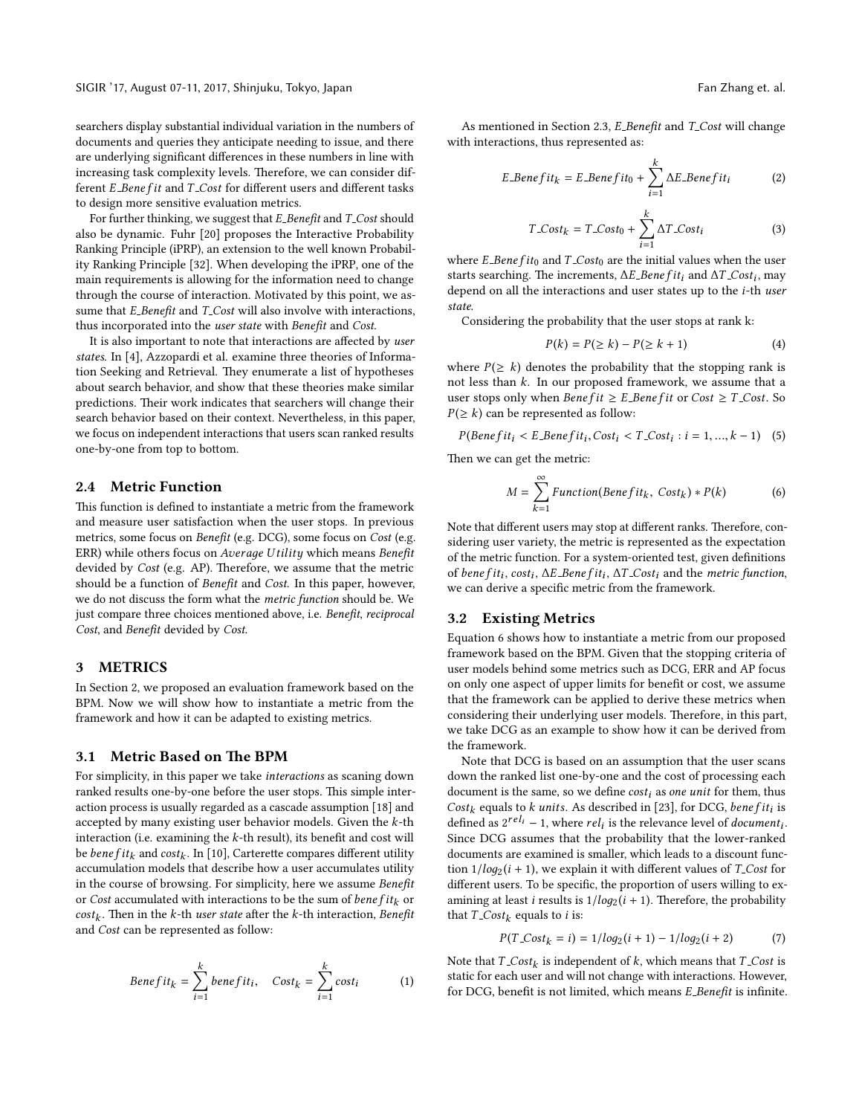SIGIR '17, August 07-11, 2017, Shinjuku, Tokyo, Japan Fan Zhang et. al.

searchers display substantial individual variation in the numbers of documents and queries they anticipate needing to issue, and there are underlying significant differences in these numbers in line with increasing task complexity levels. Therefore, we can consider different  $E$ \_Bene f it and  $T$ \_Cost for different users and different tasks to design more sensitive evaluation metrics.

For further thinking, we suggest that  $E_B$ enefit and  $T_C$ Cost should also be dynamic. Fuhr [\[20\]](#page-9-24) proposes the Interactive Probability Ranking Principle (iPRP), an extension to the well known Probability Ranking Principle [\[32\]](#page-9-25). When developing the iPRP, one of the main requirements is allowing for the information need to change through the course of interaction. Motivated by this point, we assume that  $E_B$ enefit and  $T_C$ ost will also involve with interactions, thus incorporated into the user state with Benefit and Cost.

It is also important to note that interactions are affected by user states. In [\[4\]](#page-9-26), Azzopardi et al. examine three theories of Information Seeking and Retrieval. They enumerate a list of hypotheses about search behavior, and show that these theories make similar predictions. Their work indicates that searchers will change their search behavior based on their context. Nevertheless, in this paper, we focus on independent interactions that users scan ranked results one-by-one from top to bottom.

# 2.4 Metric Function

This function is defined to instantiate a metric from the framework and measure user satisfaction when the user stops. In previous metrics, some focus on Benefit (e.g. DCG), some focus on Cost (e.g. ERR) while others focus on Average Utility which means Benefit devided by  $Cost$  (e.g. AP). Therefore, we assume that the metric should be a function of Benefit and Cost. In this paper, however, we do not discuss the form what the metric function should be. We just compare three choices mentioned above, i.e. Benefit, reciprocal Cost, and Benefit devided by Cost.

## <span id="page-3-1"></span>3 METRICS

In Section [2,](#page-2-0) we proposed an evaluation framework based on the BPM. Now we will show how to instantiate a metric from the framework and how it can be adapted to existing metrics.

#### 3.1 Metric Based on The BPM

For simplicity, in this paper we take interactions as scaning down ranked results one-by-one before the user stops. This simple interaction process is usually regarded as a cascade assumption [\[18\]](#page-9-27) and accepted by many existing user behavior models. Given the  $k$ -th interaction (i.e. examining the  $k$ -th result), its benefit and cost will be *bene f* it<sub>k</sub> and cost<sub>k</sub>. In [\[10\]](#page-9-19), Carterette compares different utility<br>accumulation models that describe how a user accumulates utility accumulation models that describe how a user accumulates utility in the course of browsing. For simplicity, here we assume Benefit or Cost accumulated with interactions to be the sum of bene  $fit_k$  or and Cost can be represented as follow:  $cost_k$ . Then in the k-th user state after the k-th interaction, Benefit

$$
Benefit_k = \sum_{i=1}^{k} benefit_i, \quad Cost_k = \sum_{i=1}^{k} cost_i \tag{1}
$$

As mentioned in Section [2.3,](#page-2-2)  $E_B$ enefit and  $T_C$ Cost will change with interactions, thus represented as:

<span id="page-3-5"></span>
$$
E\_Benefit_k = E\_Benefit_0 + \sum_{i=1}^{k} \Delta E\_Benefit_i \tag{2}
$$

<span id="page-3-6"></span>
$$
T\_{Cost_k} = T\_{Cost_0} + \sum_{i=1}^{k} \Delta T\_{Cost_i}
$$
 (3)

where  $E_B$ ene  $fit_0$  and  $T_C$ ost<sub>0</sub> are the initial values when the user<br>starts searching. The increments  $\Delta E_B$ ene  $fit$ , and  $\Delta T_C$ ost, may starts searching. The increments,  $\Delta E_B$ ene f it<sub>i</sub> and  $\Delta T_Cost_i$ , may depend on all the interactions and user states up to the *i-th user* depend on all the interactions and user states up to the i-th user state.

Considering the probability that the user stops at rank k:

<span id="page-3-3"></span>
$$
P(k) = P(\ge k) - P(\ge k + 1) \tag{4}
$$

where  $P(\geq k)$  denotes the probability that the stopping rank is not less than k. In our proposed framework, we assume that a user stops only when Bene f it  $\geq E$  Bene f it or Cost  $\geq T$  Cost. So  $P(\geq k)$  can be represented as follow:

<span id="page-3-4"></span>
$$
P(Benefit_i < E\_Benefit_i, Cost_i < T\_Cost_i : i = 1, ..., k - 1) \quad (5)
$$

Then we can get the metric:

<span id="page-3-2"></span>
$$
M = \sum_{k=1}^{\infty} Function(Benefit_k, Cost_k) * P(k)
$$
 (6)

Note that different users may stop at different ranks. Therefore, considering user variety, the metric is represented as the expectation of the metric function. For a system-oriented test, given definitions of bene fit<sub>i</sub>, cost<sub>i</sub>,  $\Delta E$  Bene fiti,  $\Delta T$  Cost<sub>i</sub> and the *metric function*,<br>we can derive a specific metric from the framework we can derive a specific metric from the framework.

#### <span id="page-3-0"></span>3.2 Existing Metrics

Equation [6](#page-3-2) shows how to instantiate a metric from our proposed framework based on the BPM. Given that the stopping criteria of user models behind some metrics such as DCG, ERR and AP focus on only one aspect of upper limits for benefit or cost, we assume that the framework can be applied to derive these metrics when considering their underlying user models. Therefore, in this part, we take DCG as an example to show how it can be derived from the framework.

Note that DCG is based on an assumption that the user scans down the ranked list one-by-one and the cost of processing each document is the same, so we define  $cost_i$  as one unit for them, thus  $Cost_k$  equals to k units. As described in [\[23\]](#page-9-9), for DCG, benefit<sub>i</sub> is<br>defined as  $2^{rel_i}$  at where rely is the relevance level of decument. defined as  $2^{rel_i} - 1$ , where  $rel_i$  is the relevance level of *document<sub>i</sub>*.<br>Since DCG assumes that the probability that the lower-ranked Since DCG assumes that the probability that the lower-ranked documents are examined is smaller, which leads to a discount function  $1/log_2(i + 1)$ , we explain it with different values of T\_Cost for different users. To be specific, the proportion of users willing to examining at least *i* results is  $1/log_2(i + 1)$ . Therefore, the probability that  $T\_Cost_k$  equals to *i* is:

$$
P(T\_Cost_k = i) = 1/log_2(i + 1) - 1/log_2(i + 2)
$$
 (7)

Note that  $T\_Cost_k$  is independent of k, which means that  $T\_Cost$  is<br>static for each user and will not change with interactions. However static for each user and will not change with interactions. However, for DCG, benefit is not limited, which means  $E_B$  Benefit is infinite.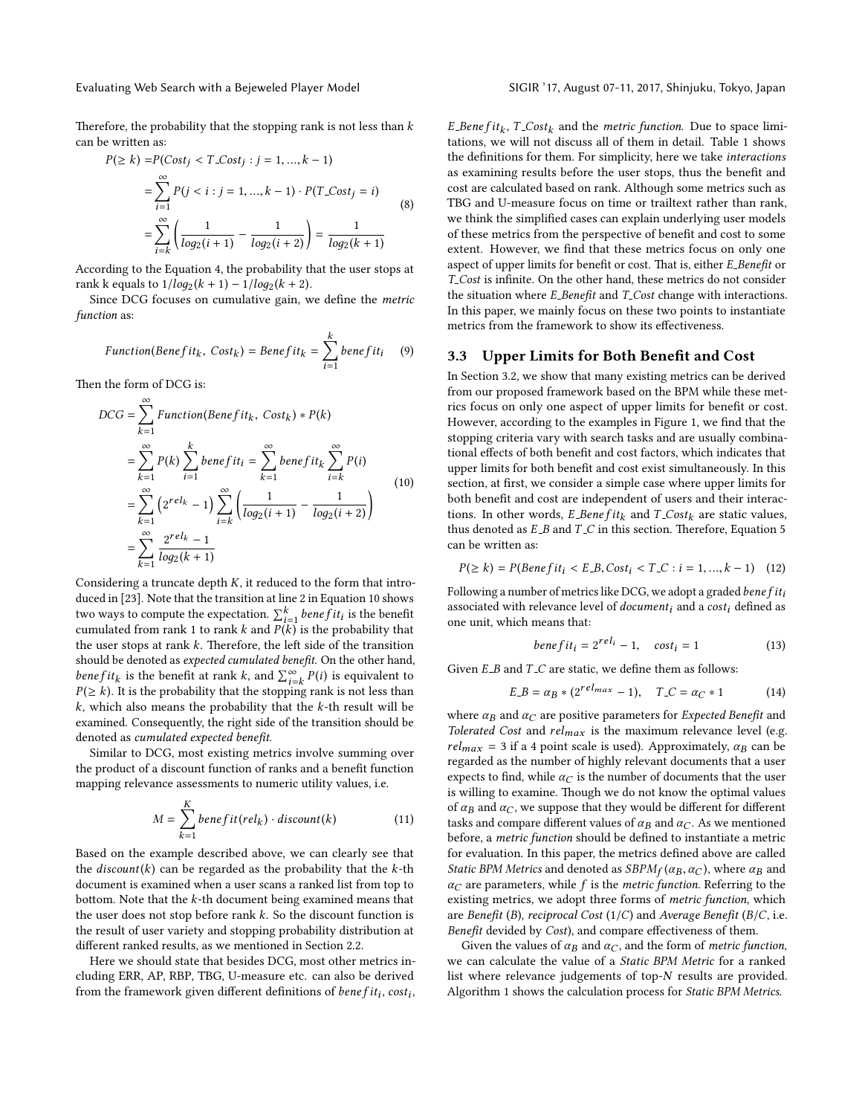Evaluating Web Search with a Bejeweled Player Model SIGIR '17, August 07-11, 2017, Shinjuku, Tokyo, Japan

Therefore, the probability that the stopping rank is not less than  $k$ can be written as:

$$
P(\ge k) = P(Cost_j < T\_{Cost_j} : j = 1, ..., k - 1)
$$
\n
$$
= \sum_{i=1}^{\infty} P(j < i : j = 1, ..., k - 1) \cdot P(T\_{Cost_j} = i)
$$
\n
$$
= \sum_{i=k}^{\infty} \left( \frac{1}{\log_2(i+1)} - \frac{1}{\log_2(i+2)} \right) = \frac{1}{\log_2(k+1)}
$$
\n(8)

According to the Equation [4,](#page-3-3) the probability that the user stops at rank k equals to  $1/log_2(k + 1) - 1/log_2(k + 2)$ .

Since DCG focuses on cumulative gain, we define the metric function as:

Function(Benefit<sub>k</sub>, Cost<sub>k</sub>) = Benefit<sub>k</sub> = 
$$
\sum_{i=1}^{k}
$$
 benefit<sub>i</sub> (9)

Then the form of DCG is:

<span id="page-4-0"></span>
$$
DCG = \sum_{k=1}^{\infty} Function(Benefit_k, Cost_k) * P(k)
$$
  
= 
$$
\sum_{k=1}^{\infty} P(k) \sum_{i=1}^{k} benefit_i = \sum_{k=1}^{\infty} benefit_k \sum_{i=k}^{\infty} P(i)
$$
  
= 
$$
\sum_{k=1}^{\infty} (2^{rel_k} - 1) \sum_{i=k}^{\infty} \left( \frac{1}{log_2(i+1)} - \frac{1}{log_2(i+2)} \right)
$$
  
= 
$$
\sum_{k=1}^{\infty} \frac{2^{rel_k} - 1}{log_2(k+1)}
$$
 (10)

Considering a truncate depth  $K$ , it reduced to the form that introduced in [\[23\]](#page-9-9). Note that the transition at line 2 in Equation [10](#page-4-0) shows two ways to compute the expectation.  $\sum_{i=1}^{k} \text{benefit}_{i}$  is the benefit cumulated from rank 1 to rank k and  $P(k)$  is the probability that cumulated from rank 1 to rank k and  $P(k)$  is the probability that the user stops at rank k. Therefore, the left side of the transition the user stops at rank  $k$ . Therefore, the left side of the transition should be denoted as expected cumulated benefit. On the other hand,  $P(\geq k)$ . It is the probability that the stopping rank is not less than  $k$ , which also means the probability that the k-th result will be is the benefit at rank k, and  $\sum_{i=k}^{\infty} P(i)$  is equivalent to is the probability that the stapping rank is not less than  $k$ , which also means the probability that the  $k$ -th result will be examined. Consequently, the right side of the transition should be denoted as cumulated expected benefit.

Similar to DCG, most existing metrics involve summing over the product of a discount function of ranks and a benefit function mapping relevance assessments to numeric utility values, i.e.

$$
M = \sum_{k=1}^{K} \text{benefit}(\text{rel}_k) \cdot \text{discount}(k) \tag{11}
$$

Based on the example described above, we can clearly see that the *discount*( $k$ ) can be regarded as the probability that the  $k$ -th document is examined when a user scans a ranked list from top to bottom. Note that the  $k$ -th document being examined means that the user does not stop before rank  $k$ . So the discount function is the result of user variety and stopping probability distribution at different ranked results, as we mentioned in Section [2.2.](#page-2-3)

Here we should state that besides DCG, most other metrics including ERR, AP, RBP, TBG, U-measure etc. can also be derived from the framework given different definitions of  $\textit{benefit}_i, \textit{cost}_i,$ 

tations, we will not discuss all of them in detail. Table [1](#page-5-1) shows E\_Bene $fit_k$ , T\_Cost<sub>k</sub> and the metric function. Due to space limithe definitions for them. For simplicity, here we take interactions as examining results before the user stops, thus the benefit and cost are calculated based on rank. Although some metrics such as TBG and U-measure focus on time or trailtext rather than rank, we think the simplified cases can explain underlying user models of these metrics from the perspective of benefit and cost to some extent. However, we find that these metrics focus on only one aspect of upper limits for benefit or cost. That is, either E\_Benefit or T\_Cost is infinite. On the other hand, these metrics do not consider the situation where  $E_B$ enefit and  $T_C$ Cost change with interactions. In this paper, we mainly focus on these two points to instantiate metrics from the framework to show its effectiveness.

#### 3.3 Upper Limits for Both Benefit and Cost

In Section [3.2,](#page-3-0) we show that many existing metrics can be derived from our proposed framework based on the BPM while these metrics focus on only one aspect of upper limits for benefit or cost. However, according to the examples in Figure [1,](#page-1-0) we find that the stopping criteria vary with search tasks and are usually combinational effects of both benefit and cost factors, which indicates that upper limits for both benefit and cost exist simultaneously. In this section, at first, we consider a simple case where upper limits for both benefit and cost are independent of users and their interactions. In other words,  $E_B$ ene  $fit_k$  and  $T_C$ os $t_k$  are static values, thus denoted as  $E$  B and  $T$  C in this section. Therefore, Equation [5](#page-3-4) can be written as:

$$
P(\ge k) = P(Benefit_i < E.B, Cost_i < T.C : i = 1, ..., k - 1) \quad (12)
$$

Following a number of metrics like DCG, we adopt a graded bene fiti associated with relevance level of *document<sub>i</sub>* and a cost<sub>i</sub> defined as one unit, which means that:

$$
benefit_i = 2^{rel_i} - 1, \quad cost_i = 1 \tag{13}
$$

Given  $E$ <sub>-</sub> $B$  and  $T$ <sub>-</sub> $C$  are static, we define them as follows:

$$
E_{-}B = \alpha_{B} * (2^{rel_{max}} - 1), \quad T_{-}C = \alpha_{C} * 1 \tag{14}
$$

where  $\alpha_B$  and  $\alpha_C$  are positive parameters for Expected Benefit and Tolerated Cost and  $rel_{max}$  is the maximum relevance level (e.g.  $rel_{max}$  = 3 if a 4 point scale is used). Approximately,  $\alpha_B$  can be regarded as the number of highly relevant documents that a user expects to find, while  $\alpha_C$  is the number of documents that the user is willing to examine. Though we do not know the optimal values of  $\alpha_B$  and  $\alpha_C$ , we suppose that they would be different for different tasks and compare different values of  $\alpha_B$  and  $\alpha_C$ . As we mentioned before, a *metric function* should be defined to instantiate a metric for evaluation. In this paper, the metrics defined above are called *Static BPM Metrics* and denoted as  $SBPM_f(\alpha_B, \alpha_C)$ , where  $\alpha_B$  and  $\alpha_C$  are parameters, while f is the metric function. Referring to the  $\alpha_C$  are parameters, while f is the *metric function*. Referring to the existing metrics, we adopt three forms of metric function, which are Benefit (B), reciprocal Cost  $(1/C)$  and Average Benefit (B/C, i.e. Benefit devided by Cost), and compare effectiveness of them.

Given the values of  $\alpha_B$  and  $\alpha_C$ , and the form of *metric function*, we can calculate the value of a Static BPM Metric for a ranked list where relevance judgements of top-N results are provided. Algorithm [1](#page-5-2) shows the calculation process for Static BPM Metrics.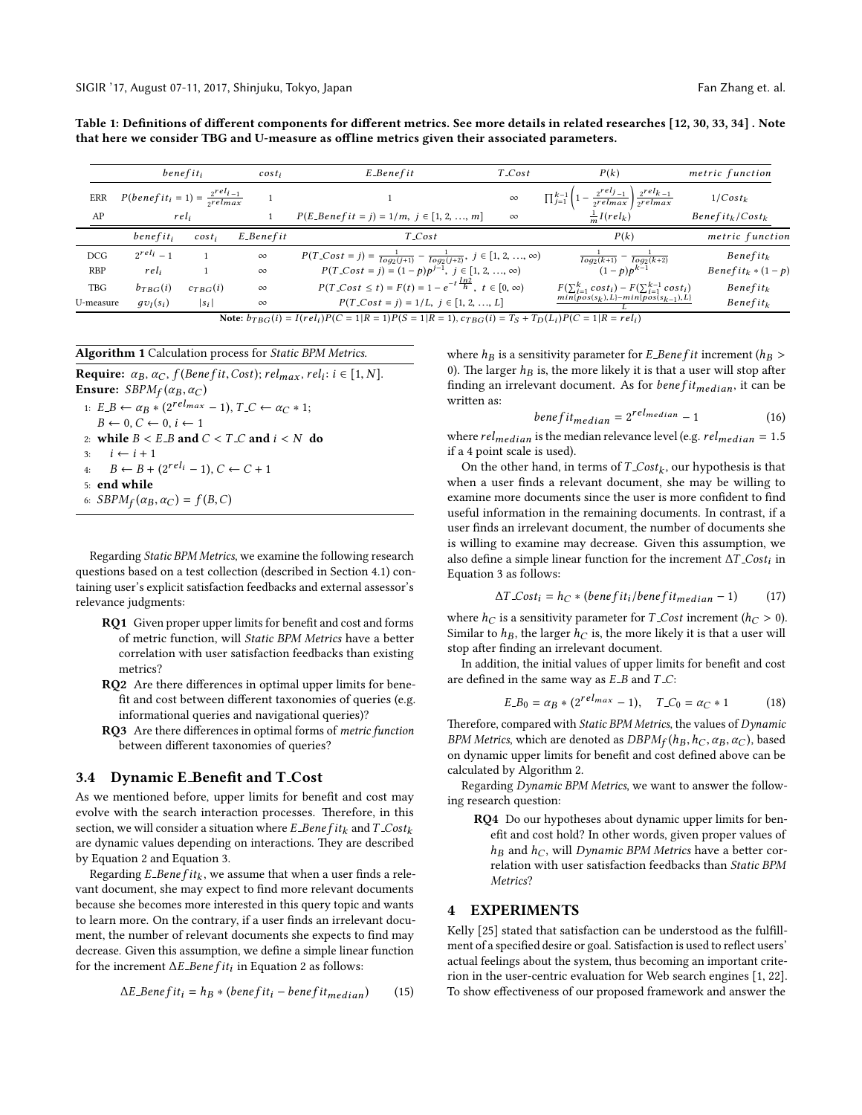<span id="page-5-1"></span>Table 1: Definitions of different components for different metrics. See more details in related researches [\[12,](#page-9-10) [30,](#page-9-22) [33,](#page-9-17) [34\]](#page-9-6). Note that here we consider TBG and U-measure as offline metrics given their associated parameters.

|                                                                 |                 | $benefit_i$  | $cost_i$   | E_Benefit                                                                                                | P(k)     | metric function                                                                                                                   |                                |
|-----------------------------------------------------------------|-----------------|--------------|------------|----------------------------------------------------------------------------------------------------------|----------|-----------------------------------------------------------------------------------------------------------------------------------|--------------------------------|
| $P(benefit_i = 1) = \frac{2^{rel_{i-1}}}{2^{rel_{max}}}$<br>ERR |                 |              |            |                                                                                                          | $\infty$ | $\prod_{j=1}^{k-1} \left(1 - \frac{2^{rel_{j}}-1}{2^{rel_{max}}} \right) \frac{2^{rel_{k}}-1}{2^{rel_{max}}}$                     | $1/Cost_k$                     |
| AP                                                              |                 | reli         |            | $P(E_B \text{enerfit} = j) = 1/m, j \in [1, 2, , m]$                                                     | $\infty$ | $\frac{1}{m}I(rel_k)$                                                                                                             | $Benefit_k/Cost_k$             |
|                                                                 | $benefit_i$     | $cost_i$     | E_Benef it | $T\_Cost$                                                                                                |          | P(k)                                                                                                                              | metric function                |
| DCG                                                             | $2^{rel_i} - 1$ |              | $\infty$   | $P(T\_{Cost} = j) = \frac{1}{log_2(j+1)} - \frac{1}{log_2(j+2)}, \ j \in [1, 2, , \infty)$               |          | $\frac{1}{\log_2(k+1)} - \frac{1}{\log_2(k+2)}$                                                                                   | $Benefit_k$                    |
| <b>RBP</b>                                                      | reli            |              | $\infty$   | $P(T\text{-}Cost = j) = (1-p)p^{j-1}, j \in [1, 2, , \infty)$                                            |          | $(1-p)p^{k-1}$                                                                                                                    | Benefit <sub>k</sub> * $(1-p)$ |
| TBG                                                             | $b_{TBG}(i)$    | $c_{TRG}(i)$ | $\infty$   | $P(T\_Cost \le t) = F(t) = 1 - e^{-t \frac{ln 2}{h}}, t \in [0, \infty)$                                 |          | $\begin{array}{l} F(\sum_{i=1}^k cost_i) - F(\sum_{i=1}^{k-1} cost_i) \\ min\{pos(s_k), L\} - min\{pos(s_{k-1}), L\} \end{array}$ | $Benefit_k$                    |
| U-measure                                                       | $qv_l(s_i)$     | $ s_i $      | $\infty$   | $P(T\_Cost = j) = 1/L, j \in [1, 2, , L]$                                                                |          |                                                                                                                                   | $Benefit_k$                    |
|                                                                 |                 |              |            | Note: $b_{TBG}(i) = I(rel_i)P(C = 1 R = 1)P(S = 1 R = 1), c_{TBG}(i) = T_S + T_D(L_i)P(C = 1 R = rel_i)$ |          |                                                                                                                                   |                                |

# <span id="page-5-2"></span>Algorithm 1 Calculation process for Static BPM Metrics.

**Require:**  $\alpha_B$ ,  $\alpha_C$ ,  $f(Benefit, Cost)$ ;  $rel_{max}$ ,  $rel_i: i \in [1, N]$ .<br>**Ensure:**  $SRPM_o(\alpha_B, \alpha_C)$ **Ensure:**  $SBPM_f(\alpha_B, \alpha_C)$ 1:  $E \to \alpha_B * (2^{relmax} - 1), T \to \alpha_C * 1;$ <br> $B \to 0, C \to 0, i \to 1$  $B \leftarrow 0, C \leftarrow 0, i \leftarrow 1$ 2: while  $B < E \cdot B$  and  $C < T \cdot C$  and  $i < N$  do 3:  $i \leftarrow i + 1$ 3:  $i \leftarrow i + 1$ <br>4:  $B \leftarrow B +$ 4:  $B \leftarrow B + (2^{rel_i} - 1), C \leftarrow C + 1$ <br>5. end while 5: end while 6:  $SBPM_f(\alpha_B, \alpha_C) = f(B, C)$ 

Regarding Static BPM Metrics, we examine the following research questions based on a test collection (described in Section [4.1\)](#page-6-0) containing user's explicit satisfaction feedbacks and external assessor's relevance judgments:

- RQ1 Given proper upper limits for benefit and cost and forms of metric function, will Static BPM Metrics have a better correlation with user satisfaction feedbacks than existing metrics?
- RQ2 Are there differences in optimal upper limits for benefit and cost between different taxonomies of queries (e.g. informational queries and navigational queries)?
- RQ3 Are there differences in optimal forms of metric function between different taxonomies of queries?

#### 3.4 Dynamic E Benefit and T Cost

As we mentioned before, upper limits for benefit and cost may evolve with the search interaction processes. Therefore, in this section, we will consider a situation where  $E$  Bene  $fit_k$  and  $T$  Cost<sub>k</sub> are dynamic values depending on interactions. They are described by Equation [2](#page-3-5) and Equation [3.](#page-3-6)

Regarding  $E_B$ ene  $fit_k$ , we assume that when a user finds a rele-<br>at document, she may expect to find more relevant documents. vant document, she may expect to find more relevant documents because she becomes more interested in this query topic and wants to learn more. On the contrary, if a user finds an irrelevant document, the number of relevant documents she expects to find may decrease. Given this assumption, we define a simple linear function for the increment  $\Delta E\_{Benefit}$  in Equation [2](#page-3-5) as follows:

$$
\Delta E\_Benefit_i = h_B * (benefit_i - benefit_{median})\tag{15}
$$

where  $h_B$  is a sensitivity parameter for *E* Bene f it increment ( $h_B$  > 0). The larger  $h_B$  is, the more likely it is that a user will stop after finding an irrelevant document. As for *benef* it<sub>median</sub>, it can be written as:

$$
benefit_{median} = 2^{rel_{median}} - 1
$$
 (16)

where  $rel_{median}$  is the median relevance level (e.g.  $rel_{median} = 1.5$ <br>if a 4 point scale is used) if a 4 point scale is used).

On the other hand, in terms of  $T\_Cost_k$ , our hypothesis is that  $\text{len } a$  user finds a relevant document, she may be willing to when a user finds a relevant document, she may be willing to examine more documents since the user is more confident to find useful information in the remaining documents. In contrast, if a user finds an irrelevant document, the number of documents she is willing to examine may decrease. Given this assumption, we also define a simple linear function for the increment  $\Delta T\_Cost_i$  in Fourtion 3 as follows: Equation [3](#page-3-6) as follows:

$$
\Delta T \cdot Cost_i = h_C * (benefit_i/benefit_{median} - 1)
$$
 (17)

where  $h_C$  is a sensitivity parameter for  $T\text{-}Cost$  increment  $(h_C > 0)$ .<br>Similar to has the larger ho is the more likely it is that a user will Similar to  $h_B$ , the larger  $h_C$  is, the more likely it is that a user will stop after finding an irrelevant document.

In addition, the initial values of upper limits for benefit and cost are defined in the same way as  $E$ \_B and  $T$ \_C:

$$
E_{-}B_{0} = \alpha_{B} * (2^{rel_{max}} - 1), \quad T_{-}C_{0} = \alpha_{C} * 1 \tag{18}
$$

Therefore, compared with Static BPM Metrics, the values of Dynamic BPM Metrics, which are denoted as  $DBPM_f(h_B, h_C, \alpha_B, \alpha_C)$ , based<br>on dynamic upper limits for banefit and cost defined above can be on dynamic upper limits for benefit and cost defined above can be calculated by Algorithm [2.](#page-6-1)

Regarding Dynamic BPM Metrics, we want to answer the following research question:

RQ4 Do our hypotheses about dynamic upper limits for benefit and cost hold? In other words, given proper values of  $h_B$  and  $h_C$ , will Dynamic BPM Metrics have a better correlation with user satisfaction feedbacks than Static BPM Metrics?

#### <span id="page-5-0"></span>4 EXPERIMENTS

Kelly [\[25\]](#page-9-28) stated that satisfaction can be understood as the fulfillment of a specified desire or goal. Satisfaction is used to reflect users' actual feelings about the system, thus becoming an important criterion in the user-centric evaluation for Web search engines [\[1,](#page-9-29) [22\]](#page-9-30). To show effectiveness of our proposed framework and answer the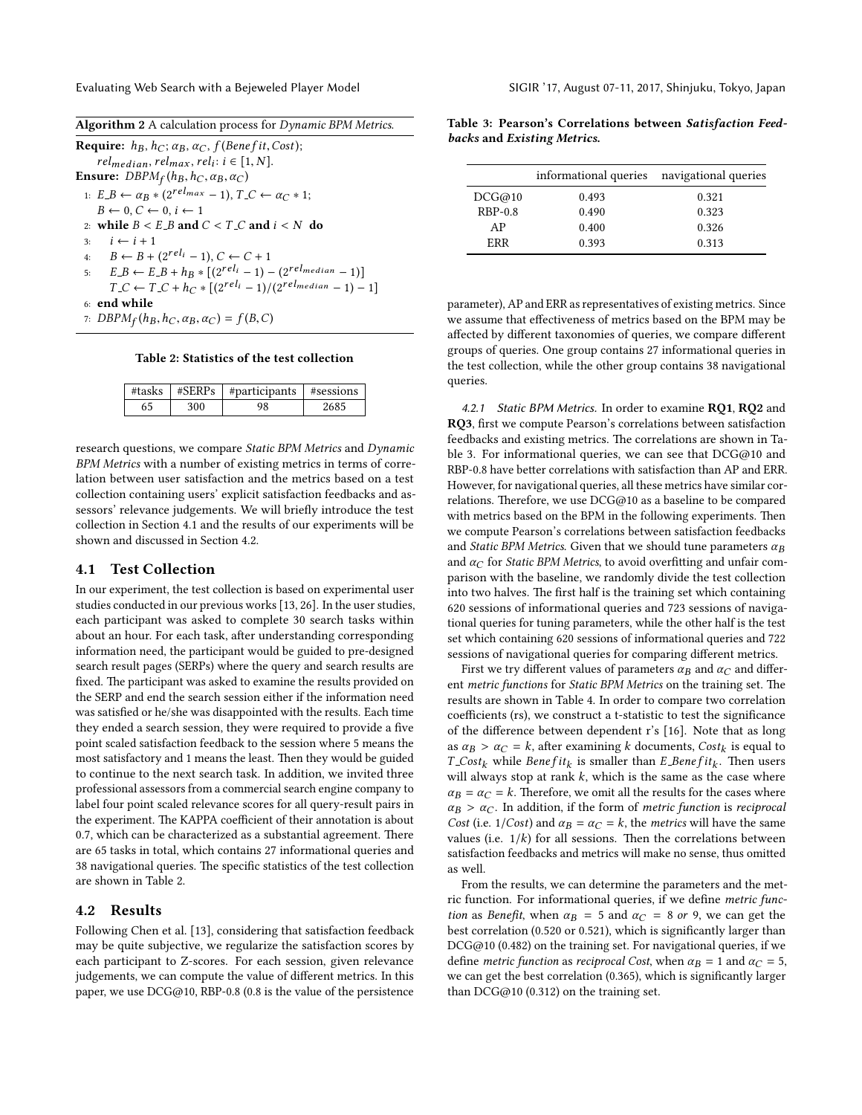Evaluating Web Search with a Bejeweled Player Model SIGIR '17, August 07-11, 2017, Shinjuku, Tokyo, Japan

<span id="page-6-1"></span>

| Algorithm 2 A calculation process for Dynamic BPM Metrics. |  |  |
|------------------------------------------------------------|--|--|
|------------------------------------------------------------|--|--|

Require:  $h_B$ ,  $h_C$ ;  $\alpha_B$ ,  $\alpha_C$ ,  $f(Benefit, Cost)$ ;  $rel_{median}$ ,  $rel_{max}$ ,  $rel_i: i \in [1, N]$ .<br>ure: DBPM c(hp, ho,  $\alpha$ p,  $\alpha$ o) **Ensure:**  $DBPM_f(h_B, h_C, \alpha_B, \alpha_C)$ 1:  $E \to \alpha_B * (2^{relmax} - 1), T \to \alpha_C * 1;$ <br> $B \to 0, C \to 0, i \to 1$  $B \leftarrow 0, C \leftarrow 0, i \leftarrow 1$ 2: while  $B < E\_B$  and  $C < T\_C$  and  $i < N$  do<br>3:  $i \leftarrow i + 1$ 4:  $B \leftarrow B + (2^{rel_i} - 1), C \leftarrow C + 1$ 4:  $B \leftarrow B + (2^{rel_i} - 1), C \leftarrow C + 1$ <br>5.  $F B \leftarrow F B + h_D * [(2^{rel_i} - 1),$ 5:  $E\_B \leftarrow E\_B + h_B * [(2^{rel_i} - 1) - (2^{rel_{median}} - 1)]$ <br>  $TC \leftarrow TC + h_B * [(2^{rel_i} - 1) / (2^{rel_{median}} - 1)]$  $T_C \leftarrow T_C + h_C * [(2^{rel_i} - 1)/(2^{rel_{median}} - 1) - 1]$ 6: end while 7:  $DBPM_f(h_B, h_C, \alpha_B, \alpha_C) = f(B, C)$ 

<span id="page-6-3"></span>Table 2: Statistics of the test collection

|  | #tasks   #SERPs   #participants   #sessions |  |
|--|---------------------------------------------|--|
|  | 98                                          |  |

research questions, we compare Static BPM Metrics and Dynamic BPM Metrics with a number of existing metrics in terms of correlation between user satisfaction and the metrics based on a test collection containing users' explicit satisfaction feedbacks and assessors' relevance judgements. We will briefly introduce the test collection in Section [4.1](#page-6-0) and the results of our experiments will be shown and discussed in Section [4.2.](#page-6-2)

# <span id="page-6-0"></span>4.1 Test Collection

In our experiment, the test collection is based on experimental user studies conducted in our previous works [\[13,](#page-9-31) [26\]](#page-9-32). In the user studies, each participant was asked to complete 30 search tasks within about an hour. For each task, after understanding corresponding information need, the participant would be guided to pre-designed search result pages (SERPs) where the query and search results are fixed. The participant was asked to examine the results provided on the SERP and end the search session either if the information need was satisfied or he/she was disappointed with the results. Each time they ended a search session, they were required to provide a five point scaled satisfaction feedback to the session where 5 means the most satisfactory and 1 means the least. Then they would be guided to continue to the next search task. In addition, we invited three professional assessors from a commercial search engine company to label four point scaled relevance scores for all query-result pairs in the experiment. The KAPPA coefficient of their annotation is about 0.7, which can be characterized as a substantial agreement. There are 65 tasks in total, which contains 27 informational queries and 38 navigational queries. The specific statistics of the test collection are shown in Table [2.](#page-6-3)

#### <span id="page-6-2"></span>4.2 Results

Following Chen et al. [\[13\]](#page-9-31), considering that satisfaction feedback may be quite subjective, we regularize the satisfaction scores by each participant to Z-scores. For each session, given relevance judgements, we can compute the value of different metrics. In this paper, we use DCG@10, RBP-0.8 (0.8 is the value of the persistence

<span id="page-6-4"></span>

|                             | Table 3: Pearson's Correlations between Satisfaction Feed- |  |  |
|-----------------------------|------------------------------------------------------------|--|--|
| backs and Existing Metrics. |                                                            |  |  |

|           | informational queries navigational queries |       |
|-----------|--------------------------------------------|-------|
| DCG@10    | 0.493                                      | 0.321 |
| $RBP-0.8$ | 0.490                                      | 0.323 |
| AP        | 0.400                                      | 0.326 |
| ERR       | 0.393                                      | 0.313 |
|           |                                            |       |

parameter), AP and ERR as representatives of existing metrics. Since we assume that effectiveness of metrics based on the BPM may be affected by different taxonomies of queries, we compare different groups of queries. One group contains 27 informational queries in the test collection, while the other group contains 38 navigational queries.

<span id="page-6-5"></span>4.2.1 Static BPM Metrics. In order to examine RQ1, RQ2 and RQ3, first we compute Pearson's correlations between satisfaction feedbacks and existing metrics. The correlations are shown in Table [3.](#page-6-4) For informational queries, we can see that DCG@10 and RBP-0.8 have better correlations with satisfaction than AP and ERR. However, for navigational queries, all these metrics have similar correlations. Therefore, we use  $DCG@10$  as a baseline to be compared with metrics based on the BPM in the following experiments. Then we compute Pearson's correlations between satisfaction feedbacks and *Static BPM Metrics*. Given that we should tune parameters  $\alpha_B$ and  $\alpha_C$  for *Static BPM Metrics*, to avoid overfitting and unfair comparison with the baseline, we randomly divide the test collection into two halves. The first half is the training set which containing 620 sessions of informational queries and 723 sessions of navigational queries for tuning parameters, while the other half is the test set which containing 620 sessions of informational queries and 722 sessions of navigational queries for comparing different metrics.

First we try different values of parameters  $\alpha_B$  and  $\alpha_C$  and different metric functions for Static BPM Metrics on the training set. The results are shown in Table [4.](#page-7-0) In order to compare two correlation coefficients (rs), we construct a t-statistic to test the significance of the difference between dependent r's [\[16\]](#page-9-33). Note that as long as  $\alpha_B > \alpha_C = k$ , after examining k documents,  $Cost_k$  is equal to  $T$  Cost, while *Benefit,* is smaller than *E Benefit.* Then users  $T\_Cost_k$  while *Bene fit<sub>k</sub>* is smaller than  $E\_Benefit_k$ . Then users<br>will always stop at rank k which is the same as the case where will always stop at rank  $k$ , which is the same as the case where  $\alpha_B = \alpha_C = k$ . Therefore, we omit all the results for the cases where  $\alpha_B > \alpha_C$ . In addition, if the form of *metric function* is *reciprocal Cost* (i.e. 1/*Cost*) and  $\alpha_B = \alpha_C = k$ , the *metrics* will have the same values (i.e.  $1/k$ ) for all sessions. Then the correlations between satisfaction feedbacks and metrics will make no sense, thus omitted as well.

From the results, we can determine the parameters and the metric function. For informational queries, if we define metric function as Benefit, when  $\alpha_B = 5$  and  $\alpha_C = 8$  or 9, we can get the best correlation (0.520 or 0.521), which is significantly larger than DCG@10 (0.482) on the training set. For navigational queries, if we define *metric function* as *reciprocal Cost*, when  $\alpha_B = 1$  and  $\alpha_C = 5$ , we can get the best correlation (0.365), which is significantly larger than DCG@10 (0.312) on the training set.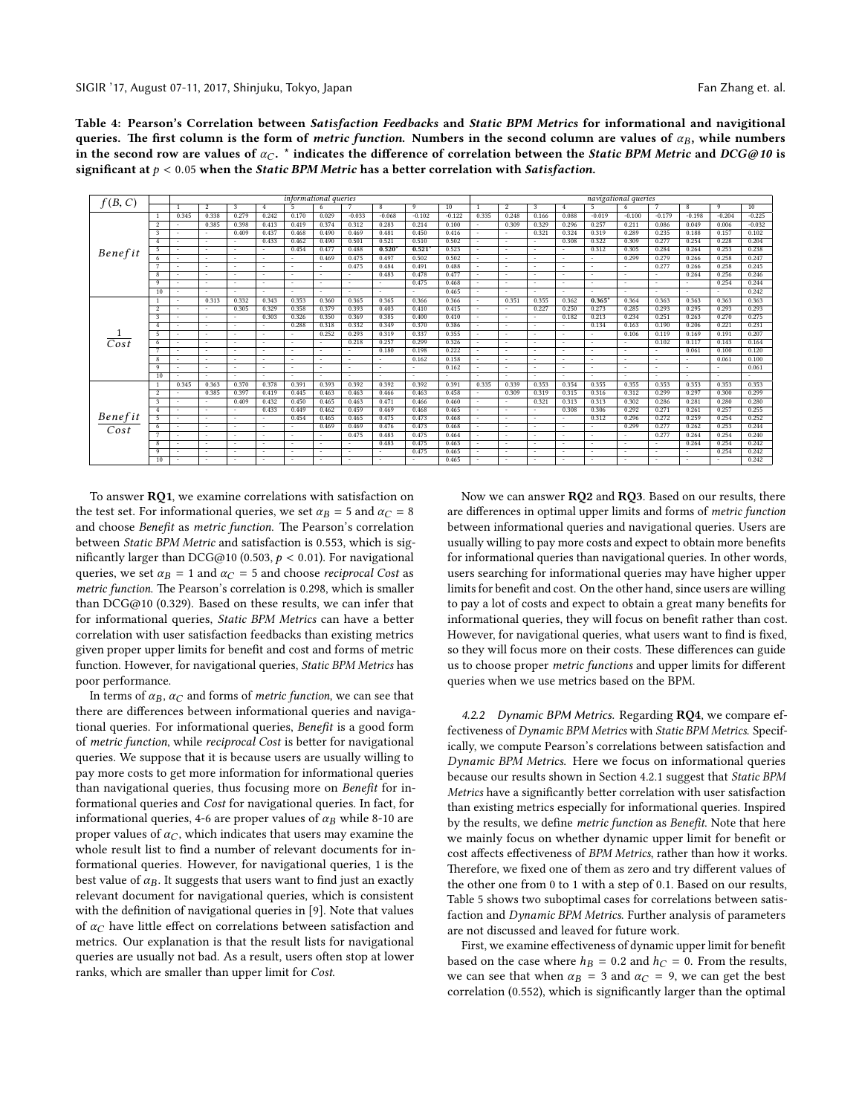<span id="page-7-0"></span>Table 4: Pearson's Correlation between Satisfaction Feedbacks and Static BPM Metrics for informational and navigitional queries. The first column is the form of metric function. Numbers in the second column are values of  $\alpha_B$ , while numbers in the second row are values of  $a_C$ . \* indicates the difference of correlation between the Static BPM Metric and DCG@10 is significant at  $p < 0.05$  when the *Static BPM Metric* has a better correlation with *Satisfaction*.

| f(B, C)           |                                     | informational queries |                          |                               |                          |                          |                |                          |                |                |                |               |                          | navigational queries |       |                |                |                          |                |                |                |  |
|-------------------|-------------------------------------|-----------------------|--------------------------|-------------------------------|--------------------------|--------------------------|----------------|--------------------------|----------------|----------------|----------------|---------------|--------------------------|----------------------|-------|----------------|----------------|--------------------------|----------------|----------------|----------------|--|
|                   |                                     |                       | $\mathcal{P}$            | 3                             | $\overline{4}$           |                          | 6              |                          | 8              | $\Omega$       | 10             |               | $\overline{2}$           |                      |       |                | 6              |                          | 8              | $\Omega$       | 10             |  |
|                   |                                     | 0.345                 | 0.338                    | 0.279                         | 0.242                    | 0.170                    | 0.029          | $-0.033$                 | $-0.068$       | $-0.102$       | $-0.122$       | 0.335         | 0.248                    | 0.166                | 0.088 | $-0.019$       | $-0.100$       | $-0.179$                 | $-0.198$       | $-0.204$       | $-0.225$       |  |
|                   | $\overline{2}$                      |                       | 0.385                    | 0.398                         | 0.413                    | 0.419                    | 0.374          | 0.312                    | 0.283          | 0.214          | 0.100          |               | 0.309                    | 0.329                | 0.296 | 0.257          | 0.211          | 0.086                    | 0.049          | 0.006          | $-0.032$       |  |
|                   | 3                                   |                       |                          | 0.409                         | 0.437                    | 0.468                    | 0.490          | 0.469                    | 0.481          | 0.450          | 0.416          |               | ٠                        | 0.321                | 0.324 | 0.319          | 0.289          | 0.235                    | 0.188          | 0.157          | 0.102          |  |
|                   |                                     |                       |                          |                               | 0.433                    | 0.462                    | 0.490          | 0.501                    | 0.521          | 0.510          | 0.502          |               | ٠                        |                      | 0.308 | 0.322          | 0.309          | 0.277                    | 0.254          | 0.228          | 0.204          |  |
| Benefit           | 5                                   |                       |                          | $\overline{\phantom{a}}$      | ٠                        | 0.454                    | 0.477          | 0.488                    | 0.520          | 0.521'         | 0.523          |               | ٠                        |                      |       | 0.312          | 0.305          | 0.284                    | 0.264          | 0.253          | 0.238          |  |
|                   |                                     |                       |                          | ٠                             | $\sim$                   |                          | 0.469          | 0.475                    | 0.497          | 0.502          | 0.502          |               | ٠                        |                      |       |                | 0.299          | 0.279                    | 0.266          | 0.258          | 0.247          |  |
|                   |                                     |                       | $\sim$                   | $\sim$                        | $\sim$                   |                          |                | 0.475                    | 0.484          | 0.491          | 0.488          |               | ٠                        |                      | ۰     |                |                | 0.277                    | 0.266          | 0.258          | 0.245          |  |
|                   | 8                                   |                       | ٠                        | $\overline{\phantom{a}}$      | $\sim$                   | $\overline{\phantom{a}}$ | ٠              | $\overline{\phantom{a}}$ | 0.483          | 0.478          | 0.477          | $\sim$        | ٠                        |                      | ٠     |                | ٠              |                          | 0.264          | 0.256          | 0.246          |  |
|                   | $\mathbf Q$                         |                       | ٠                        | ٠                             | $\sim$                   | $\overline{\phantom{a}}$ | ٠              |                          |                | 0.475          | 0.468          | $\sim$        | ٠                        |                      |       |                | ٠              |                          | $\sim$         | 0.254          | 0.244          |  |
|                   | 10                                  |                       |                          | ÷                             |                          |                          |                |                          |                |                | 0.465          |               |                          |                      |       |                | ٠              |                          | $\sim$         |                | 0.242          |  |
|                   |                                     |                       | 0.313                    | 0.332                         | 0.343                    | 0.353                    | 0.360          | 0.365                    | 0.365          | 0.366          | 0.366          |               | 0.351                    | 0.355                | 0.362 | 0.365          | 0.364          | 0.363                    | 0.363          | 0.363          | 0.363          |  |
|                   | $\overline{\mathbf{z}}$             |                       | ٠                        | 0.305                         | 0.329                    | 0.358                    | 0.379          | 0.393                    | 0.403          | 0.410          | 0.415          | $\sim$        | ٠                        | 0.227                | 0.250 | 0.273          | 0.285          | 0.293                    | 0.295          | 0.293          | 0.293          |  |
|                   | 3                                   |                       |                          | $\sim$                        | 0.303                    | 0.326                    | 0.350          | 0.369                    | 0.385          | 0.400          | 0.410          |               | ٠                        |                      | 0.182 | 0.213          | 0.234          | 0.251                    | 0.263          | 0.270          | 0.275          |  |
|                   | $\overline{4}$                      |                       | $\sim$                   | $\sim$                        | ٠                        | 0.288                    | 0.318          | 0.332                    | 0.349          | 0.370          | 0.386          |               | ٠                        |                      | ۰     | 0.134          | 0.163          | 0.190                    | 0.206          | 0.221          | 0.231          |  |
|                   | 5                                   | <b>.</b>              | . п.                     | $\sim$                        | $\sim$                   | <b>.</b>                 | 0.252          | 0.293                    | 0.319          | 0.337          | 0.355          | <u>. на п</u> | ٠                        |                      |       |                | 0.106          | 0.119                    | 0.169          | 0.191          | 0.207          |  |
| $\overline{Cost}$ | 6                                   |                       |                          | $\sim$                        | ÷                        |                          |                | 0.218                    | 0.257          | 0.299          | 0.326          | <u>. на п</u> | ٠                        |                      |       |                |                | 0.102                    | 0.117          | 0.143          | 0.164          |  |
|                   |                                     |                       | $\sim$                   | $\overline{\phantom{a}}$      | $\overline{\phantom{a}}$ | $\sim$                   | $\sim$         |                          | 0.180          | 0.198          | 0.222          |               | $\overline{\phantom{a}}$ |                      | ۰     |                | ٠              |                          | 0.061          | 0.100          | 0.120          |  |
|                   | $\overline{\mathbf{z}}$<br>$\alpha$ |                       |                          | $\sim$                        | $\sim$                   |                          | ×.             |                          |                | 0.162          | 0.158          |               | ٠                        |                      | ۰     |                | ×.             |                          |                | 0.061          | 0.100          |  |
|                   |                                     |                       |                          | $\sim$                        |                          |                          |                | <u>. на п</u>            |                |                | 0.162          |               | ٠                        |                      |       |                | ×.             |                          |                |                | 0.061          |  |
|                   | 10                                  |                       | $\overline{\phantom{a}}$ | ÷                             | ÷                        | $\sim$                   | ÷.             |                          | ٠              |                | ÷              |               | ٠                        |                      | ÷.    |                | ٠              | $\overline{\phantom{a}}$ | ÷              |                | ٠              |  |
|                   |                                     | 0.345                 | 0.363                    | 0.370                         | 0.378                    | 0.391                    | 0.393          | 0.392                    | 0.392          | 0.392          | 0.391          | 0.335         | 0.339                    | 0.353                | 0.354 | 0.355          | 0.355          | 0.353                    | 0.353          | 0.353          | 0.353          |  |
|                   | $\overline{2}$                      |                       | 0.385                    | 0.397                         | 0.419                    | 0.445                    | 0.463          | 0.463                    | 0.466          | 0.463          | 0.458          |               | 0.309                    | 0.319                | 0.315 | 0.316          | 0.312          | 0.299                    | 0.297          | 0.300          | 0.299          |  |
|                   | 3                                   | $\sim$                | $\sim$                   | 0.409                         | 0.432                    | 0.450                    | 0.465          | 0.463                    | 0.471          | 0.466          | 0.460          | <u>. на п</u> | ٠                        | 0.321                | 0.313 | 0.313          | 0.302          | 0.286                    | 0.281          | 0.280          | 0.280          |  |
| Benefit           | $\overline{4}$<br>5                 |                       | . п.                     | ٠<br>$\overline{\phantom{a}}$ | 0.433<br>$\sim$          | 0.449<br>0.454           | 0.462<br>0.465 | 0.459<br>0.465           | 0.469<br>0.475 | 0.468<br>0.473 | 0.465<br>0.468 | <u>. на п</u> | ٠<br>٠                   |                      | 0.308 | 0.306<br>0.312 | 0.292<br>0.296 | 0.271<br>0.272           | 0.261<br>0.259 | 0.257<br>0.254 | 0.255<br>0.252 |  |
|                   |                                     |                       |                          | $\sim$                        | ÷                        |                          | 0.469          | 0.469                    | 0.476          | 0.473          | 0.468          |               | ٠                        |                      |       |                | 0.299          | 0.277                    | 0.262          | 0.253          | 0.244          |  |
| Cost              | 6                                   |                       |                          | $\sim$                        | $\sim$                   |                          |                | 0.475                    | 0.483          | 0.475          | 0.464          |               | ٠                        |                      | ٠     |                | ٠              | 0.277                    | 0.264          | 0.254          | 0.240          |  |
|                   | 8                                   |                       | $\overline{\phantom{a}}$ | ٠                             | ٠                        | - 1                      | ×.             |                          | 0.483          | 0.475          | 0.463          | $\sim$        | ٠                        |                      |       |                | ٠              |                          | 0.264          | 0.254          | 0.242          |  |
|                   | $\mathbf{Q}$                        |                       |                          | ÷                             | ÷                        |                          |                |                          |                | 0.475          | 0.465          |               |                          |                      | ۰     |                |                |                          |                | 0.254          | 0.242          |  |
|                   |                                     |                       |                          | $\sim$                        |                          |                          |                |                          |                |                |                |               | ٠                        |                      |       |                | ٠              |                          |                |                |                |  |
|                   | 10                                  |                       |                          |                               |                          |                          |                |                          |                |                | 0.465          |               | ٠                        |                      |       |                |                |                          |                |                | 0.242          |  |

To answer RQ1, we examine correlations with satisfaction on the test set. For informational queries, we set  $\alpha_B = 5$  and  $\alpha_C = 8$ and choose Benefit as metric function. The Pearson's correlation between Static BPM Metric and satisfaction is 0.553, which is significantly larger than DCG@10 (0.503,  $p < 0.01$ ). For navigational queries, we set  $\alpha_B = 1$  and  $\alpha_C = 5$  and choose *reciprocal Cost* as metric function. The Pearson's correlation is 0.298, which is smaller than DCG@10 (0.329). Based on these results, we can infer that for informational queries, Static BPM Metrics can have a better correlation with user satisfaction feedbacks than existing metrics given proper upper limits for benefit and cost and forms of metric function. However, for navigational queries, Static BPM Metrics has poor performance.

In terms of  $\alpha_B$ ,  $\alpha_C$  and forms of *metric function*, we can see that there are differences between informational queries and navigational queries. For informational queries, Benefit is a good form of metric function, while reciprocal Cost is better for navigational queries. We suppose that it is because users are usually willing to pay more costs to get more information for informational queries than navigational queries, thus focusing more on Benefit for informational queries and Cost for navigational queries. In fact, for informational queries, 4-6 are proper values of  $\alpha_B$  while 8-10 are proper values of  $\alpha_C$ , which indicates that users may examine the whole result list to find a number of relevant documents for informational queries. However, for navigational queries, 1 is the best value of  $\alpha_B$ . It suggests that users want to find just an exactly relevant document for navigational queries, which is consistent with the definition of navigational queries in [\[9\]](#page-9-21). Note that values of  $\alpha_C$  have little effect on correlations between satisfaction and metrics. Our explanation is that the result lists for navigational queries are usually not bad. As a result, users often stop at lower ranks, which are smaller than upper limit for Cost.

Now we can answer RQ2 and RQ3. Based on our results, there are differences in optimal upper limits and forms of metric function between informational queries and navigational queries. Users are usually willing to pay more costs and expect to obtain more benefits for informational queries than navigational queries. In other words, users searching for informational queries may have higher upper limits for benefit and cost. On the other hand, since users are willing to pay a lot of costs and expect to obtain a great many benefits for informational queries, they will focus on benefit rather than cost. However, for navigational queries, what users want to find is fixed, so they will focus more on their costs. These differences can guide us to choose proper *metric functions* and upper limits for different queries when we use metrics based on the BPM.

4.2.2 Dynamic BPM Metrics. Regarding RQ4, we compare effectiveness of Dynamic BPM Metrics with Static BPM Metrics. Specifically, we compute Pearson's correlations between satisfaction and Dynamic BPM Metrics. Here we focus on informational queries because our results shown in Section [4.2.1](#page-6-5) suggest that Static BPM Metrics have a significantly better correlation with user satisfaction than existing metrics especially for informational queries. Inspired by the results, we define metric function as Benefit. Note that here we mainly focus on whether dynamic upper limit for benefit or cost affects effectiveness of BPM Metrics, rather than how it works. Therefore, we fixed one of them as zero and try different values of the other one from 0 to 1 with a step of 0.1. Based on our results, Table [5](#page-8-2) shows two suboptimal cases for correlations between satisfaction and Dynamic BPM Metrics. Further analysis of parameters are not discussed and leaved for future work.

First, we examine effectiveness of dynamic upper limit for benefit based on the case where  $h_B = 0.2$  and  $h_C = 0$ . From the results, we can see that when  $\alpha_B = 3$  and  $\alpha_C = 9$ , we can get the best correlation (0.552), which is significantly larger than the optimal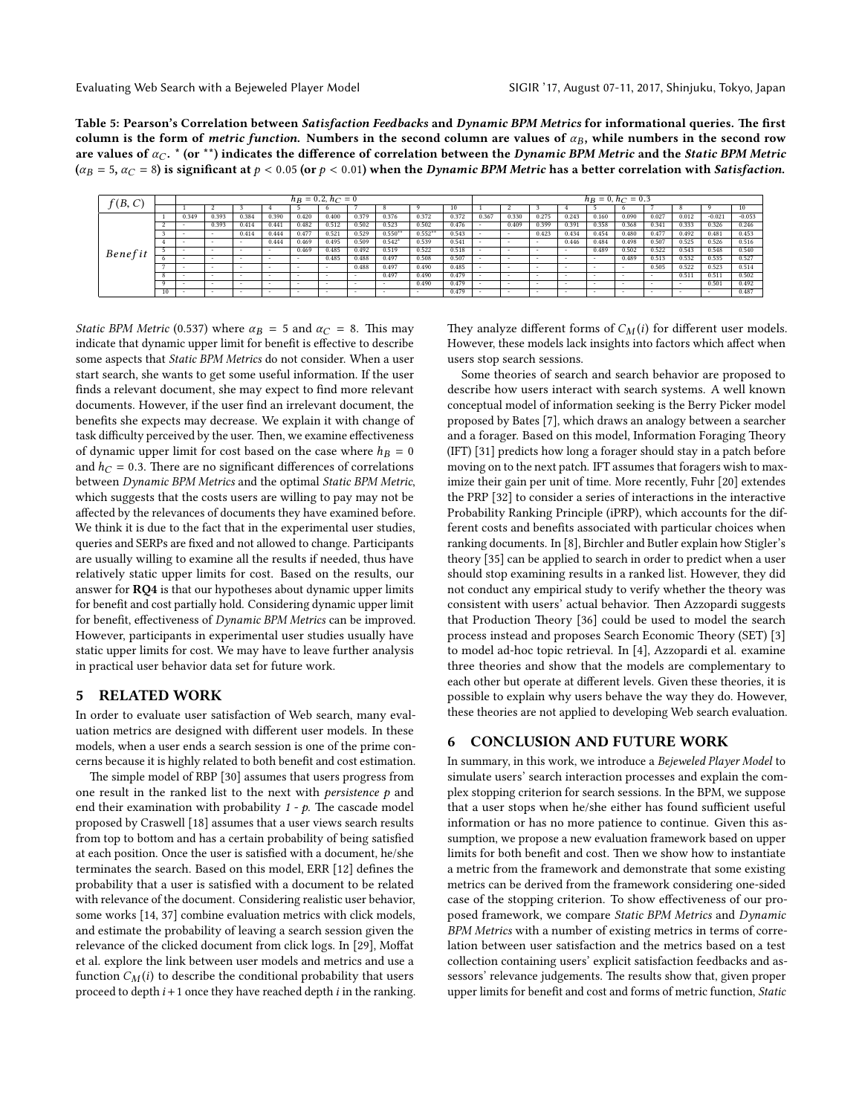<span id="page-8-2"></span>Table 5: Pearson's Correlation between Satisfaction Feedbacks and Dynamic BPM Metrics for informational queries. The first column is the form of metric function. Numbers in the second column are values of  $\alpha_B$ , while numbers in the second row are values of  $\alpha_C$ . \* (or \*\*) indicates the difference of correlation between the Dynamic BPM Metric and the Static BPM Metric  $(\alpha_B = 5, \alpha_C = 8)$  is significant at  $p < 0.05$  (or  $p < 0.01$ ) when the Dynamic BPM Metric has a better correlation with Satisfaction.

| f(B, C) |    |                          |                          |                          |             |       |                          | $h_B = 0.2, h_C = 0$ |           |           |       | $h_B = 0, h_C = 0.3$ |       |       |       |                          |       |       |        |          |          |
|---------|----|--------------------------|--------------------------|--------------------------|-------------|-------|--------------------------|----------------------|-----------|-----------|-------|----------------------|-------|-------|-------|--------------------------|-------|-------|--------|----------|----------|
|         |    |                          |                          |                          |             |       |                          |                      |           |           | 10    |                      |       |       |       |                          |       |       |        |          | 10       |
|         |    | 0.349                    | 0.393                    | 0.384                    | 0.390       | 0.420 | 0.400                    | 0.379                | 0.376     | 0.372     | 0.372 | 0.367                | 0.330 | 0.275 | 0.243 | 0.160                    | 0.090 | 0.027 | 0.012  | $-0.021$ | $-0.053$ |
|         |    |                          | 0.393                    | 0.414                    | 0.441       | 0.482 | 0.512                    | 0.502                | 0.523     | 0.502     | 0.476 |                      | 0.409 | 0.399 | 0.391 | 0.358                    | 0.368 | 0.341 | 0.333  | 0.326    | 0.246    |
|         |    | $\overline{\phantom{a}}$ | $\overline{\phantom{a}}$ | 0.414                    | 0.444       | 0.477 | 0.521                    | 0.529                | $0.550**$ | $0.552**$ | 0.543 |                      |       | 0.423 | 0.434 | 0.454                    | 0.480 | 0.477 | 0.492  | 0.481    | 0.453    |
|         |    |                          |                          | -                        | 0.444       | 0.469 | 0.495                    | 0.509                | $0.542*$  | 0.539     | 0.541 |                      |       |       | 0.446 | 0.484                    | 0.498 | 0.507 | 0.525  | 0.526    | 0.516    |
| Benefit |    |                          |                          |                          |             | 0.469 | 0.485                    | 0.492                | 0.519     | 0.522     | 0.518 |                      | -     |       |       | 0.489                    | 0.502 | 0.522 | 0.543  | 0.548    | 0.540    |
|         |    |                          |                          | -                        |             |       | 0.485                    | 0.488                | 0.497     | 0.508     | 0.507 |                      | . .   |       |       | $\overline{\phantom{a}}$ | 0.489 | 0.513 | 0.532  | 0.535    | 0.527    |
|         |    |                          |                          | $\overline{\phantom{a}}$ | . .         |       |                          | 0.488                | 0.497     | 0.490     | 0.485 |                      | . .   |       |       | $\overline{\phantom{a}}$ |       | 0.505 | 0.522  | 0.523    | 0.514    |
|         |    |                          |                          | $\overline{\phantom{a}}$ | <b>1999</b> |       | . .                      | . .                  | 0.497     | 0.490     | 0.479 |                      |       |       |       | $\overline{\phantom{a}}$ |       |       | 0.511  | 0.511    | 0.502    |
|         |    |                          |                          | $\overline{\phantom{a}}$ | <b>1999</b> |       | $\overline{\phantom{a}}$ | . .                  |           | 0.490     | 0.479 |                      |       |       |       | $\overline{\phantom{a}}$ |       |       | $\sim$ | 0.501    | 0.492    |
|         | 10 |                          |                          | -                        | <b>1999</b> |       |                          | . .                  |           |           | 0.479 |                      | . .   |       |       | $\overline{\phantom{a}}$ |       |       |        |          | 0.487    |

*Static BPM Metric* (0.537) where  $\alpha_B = 5$  and  $\alpha_C = 8$ . This may indicate that dynamic upper limit for benefit is effective to describe some aspects that Static BPM Metrics do not consider. When a user start search, she wants to get some useful information. If the user finds a relevant document, she may expect to find more relevant documents. However, if the user find an irrelevant document, the benefits she expects may decrease. We explain it with change of task difficulty perceived by the user. Then, we examine effectiveness of dynamic upper limit for cost based on the case where  $h_B = 0$ and  $h_C = 0.3$ . There are no significant differences of correlations between Dynamic BPM Metrics and the optimal Static BPM Metric, which suggests that the costs users are willing to pay may not be affected by the relevances of documents they have examined before. We think it is due to the fact that in the experimental user studies, queries and SERPs are fixed and not allowed to change. Participants are usually willing to examine all the results if needed, thus have relatively static upper limits for cost. Based on the results, our answer for RQ4 is that our hypotheses about dynamic upper limits for benefit and cost partially hold. Considering dynamic upper limit for benefit, effectiveness of Dynamic BPM Metrics can be improved. However, participants in experimental user studies usually have static upper limits for cost. We may have to leave further analysis in practical user behavior data set for future work.

# <span id="page-8-0"></span>5 RELATED WORK

In order to evaluate user satisfaction of Web search, many evaluation metrics are designed with different user models. In these models, when a user ends a search session is one of the prime concerns because it is highly related to both benefit and cost estimation.

The simple model of RBP [\[30\]](#page-9-22) assumes that users progress from one result in the ranked list to the next with *persistence*  $p$  and end their examination with probability  $1 - p$ . The cascade model proposed by Craswell [\[18\]](#page-9-27) assumes that a user views search results from top to bottom and has a certain probability of being satisfied at each position. Once the user is satisfied with a document, he/she terminates the search. Based on this model, ERR [\[12\]](#page-9-10) defines the probability that a user is satisfied with a document to be related with relevance of the document. Considering realistic user behavior, some works [\[14,](#page-9-15) [37\]](#page-9-16) combine evaluation metrics with click models, and estimate the probability of leaving a search session given the relevance of the clicked document from click logs. In [\[29\]](#page-9-20), Moffat et al. explore the link between user models and metrics and use a function  $C_M(i)$  to describe the conditional probability that users proceed to depth  $i + 1$  once they have reached depth  $i$  in the ranking.

They analyze different forms of  $C_M(i)$  for different user models. However, these models lack insights into factors which affect when users stop search sessions.

Some theories of search and search behavior are proposed to describe how users interact with search systems. A well known conceptual model of information seeking is the Berry Picker model proposed by Bates [\[7\]](#page-9-34), which draws an analogy between a searcher and a forager. Based on this model, Information Foraging Theory (IFT) [\[31\]](#page-9-35) predicts how long a forager should stay in a patch before moving on to the next patch. IFT assumes that foragers wish to maximize their gain per unit of time. More recently, Fuhr [\[20\]](#page-9-24) extendes the PRP [\[32\]](#page-9-25) to consider a series of interactions in the interactive Probability Ranking Principle (iPRP), which accounts for the different costs and benefits associated with particular choices when ranking documents. In [\[8\]](#page-9-36), Birchler and Butler explain how Stigler's theory [\[35\]](#page-9-37) can be applied to search in order to predict when a user should stop examining results in a ranked list. However, they did not conduct any empirical study to verify whether the theory was consistent with users' actual behavior. Then Azzopardi suggests that Production Theory [\[36\]](#page-9-38) could be used to model the search process instead and proposes Search Economic Theory (SET) [\[3\]](#page-9-39) to model ad-hoc topic retrieval. In [\[4\]](#page-9-26), Azzopardi et al. examine three theories and show that the models are complementary to each other but operate at different levels. Given these theories, it is possible to explain why users behave the way they do. However, these theories are not applied to developing Web search evaluation.

## <span id="page-8-1"></span>6 CONCLUSION AND FUTURE WORK

In summary, in this work, we introduce a Bejeweled Player Model to simulate users' search interaction processes and explain the complex stopping criterion for search sessions. In the BPM, we suppose that a user stops when he/she either has found sufficient useful information or has no more patience to continue. Given this assumption, we propose a new evaluation framework based on upper limits for both benefit and cost. Then we show how to instantiate a metric from the framework and demonstrate that some existing metrics can be derived from the framework considering one-sided case of the stopping criterion. To show effectiveness of our proposed framework, we compare Static BPM Metrics and Dynamic BPM Metrics with a number of existing metrics in terms of correlation between user satisfaction and the metrics based on a test collection containing users' explicit satisfaction feedbacks and assessors' relevance judgements. The results show that, given proper upper limits for benefit and cost and forms of metric function, Static